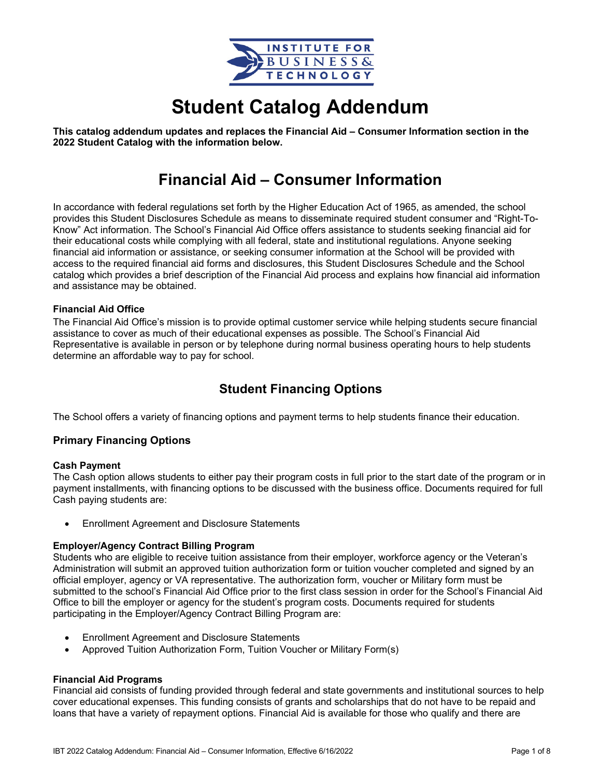

# **Student Catalog Addendum**

**This catalog addendum updates and replaces the Financial Aid – Consumer Information section in the 2022 Student Catalog with the information below.** 

## **Financial Aid – Consumer Information**

In accordance with federal regulations set forth by the Higher Education Act of 1965, as amended, the school provides this Student Disclosures Schedule as means to disseminate required student consumer and "Right-To-Know" Act information. The School's Financial Aid Office offers assistance to students seeking financial aid for their educational costs while complying with all federal, state and institutional regulations. Anyone seeking financial aid information or assistance, or seeking consumer information at the School will be provided with access to the required financial aid forms and disclosures, this Student Disclosures Schedule and the School catalog which provides a brief description of the Financial Aid process and explains how financial aid information and assistance may be obtained.

#### **Financial Aid Office**

The Financial Aid Office's mission is to provide optimal customer service while helping students secure financial assistance to cover as much of their educational expenses as possible. The School's Financial Aid Representative is available in person or by telephone during normal business operating hours to help students determine an affordable way to pay for school.

## **Student Financing Options**

The School offers a variety of financing options and payment terms to help students finance their education.

#### **Primary Financing Options**

#### **Cash Payment**

The Cash option allows students to either pay their program costs in full prior to the start date of the program or in payment installments, with financing options to be discussed with the business office. Documents required for full Cash paying students are:

Enrollment Agreement and Disclosure Statements

#### **Employer/Agency Contract Billing Program**

Students who are eligible to receive tuition assistance from their employer, workforce agency or the Veteran's Administration will submit an approved tuition authorization form or tuition voucher completed and signed by an official employer, agency or VA representative. The authorization form, voucher or Military form must be submitted to the school's Financial Aid Office prior to the first class session in order for the School's Financial Aid Office to bill the employer or agency for the student's program costs. Documents required for students participating in the Employer/Agency Contract Billing Program are:

- Enrollment Agreement and Disclosure Statements
- Approved Tuition Authorization Form, Tuition Voucher or Military Form(s)

#### **Financial Aid Programs**

Financial aid consists of funding provided through federal and state governments and institutional sources to help cover educational expenses. This funding consists of grants and scholarships that do not have to be repaid and loans that have a variety of repayment options. Financial Aid is available for those who qualify and there are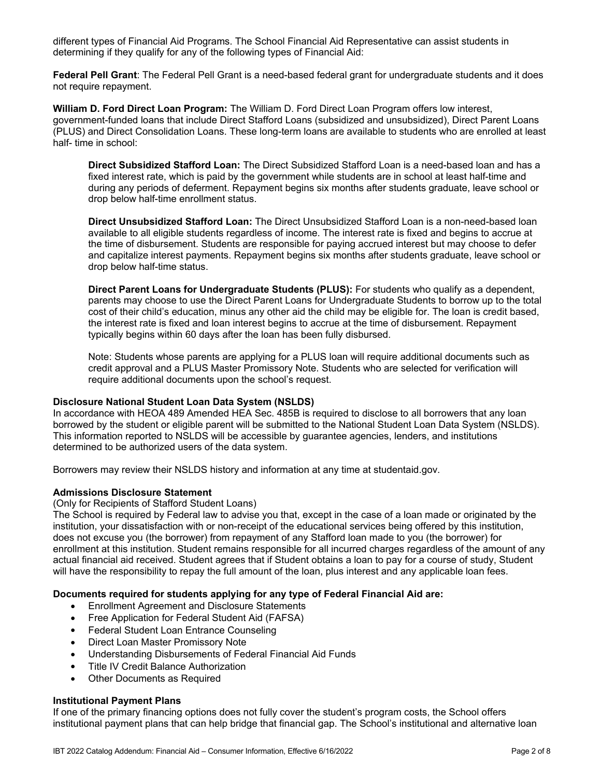different types of Financial Aid Programs. The School Financial Aid Representative can assist students in determining if they qualify for any of the following types of Financial Aid:

**Federal Pell Grant**: The Federal Pell Grant is a need-based federal grant for undergraduate students and it does not require repayment.

**William D. Ford Direct Loan Program:** The William D. Ford Direct Loan Program offers low interest, government-funded loans that include Direct Stafford Loans (subsidized and unsubsidized), Direct Parent Loans (PLUS) and Direct Consolidation Loans. These long-term loans are available to students who are enrolled at least half- time in school:

**Direct Subsidized Stafford Loan:** The Direct Subsidized Stafford Loan is a need-based loan and has a fixed interest rate, which is paid by the government while students are in school at least half-time and during any periods of deferment. Repayment begins six months after students graduate, leave school or drop below half-time enrollment status.

**Direct Unsubsidized Stafford Loan:** The Direct Unsubsidized Stafford Loan is a non-need-based loan available to all eligible students regardless of income. The interest rate is fixed and begins to accrue at the time of disbursement. Students are responsible for paying accrued interest but may choose to defer and capitalize interest payments. Repayment begins six months after students graduate, leave school or drop below half-time status.

**Direct Parent Loans for Undergraduate Students (PLUS):** For students who qualify as a dependent, parents may choose to use the Direct Parent Loans for Undergraduate Students to borrow up to the total cost of their child's education, minus any other aid the child may be eligible for. The loan is credit based, the interest rate is fixed and loan interest begins to accrue at the time of disbursement. Repayment typically begins within 60 days after the loan has been fully disbursed.

Note: Students whose parents are applying for a PLUS loan will require additional documents such as credit approval and a PLUS Master Promissory Note. Students who are selected for verification will require additional documents upon the school's request.

#### **Disclosure National Student Loan Data System (NSLDS)**

In accordance with HEOA 489 Amended HEA Sec. 485B is required to disclose to all borrowers that any loan borrowed by the student or eligible parent will be submitted to the National Student Loan Data System (NSLDS). This information reported to NSLDS will be accessible by guarantee agencies, lenders, and institutions determined to be authorized users of the data system.

Borrowers may review their NSLDS history and information at any time at studentaid.gov.

#### **Admissions Disclosure Statement**

(Only for Recipients of Stafford Student Loans)

The School is required by Federal law to advise you that, except in the case of a loan made or originated by the institution, your dissatisfaction with or non-receipt of the educational services being offered by this institution, does not excuse you (the borrower) from repayment of any Stafford loan made to you (the borrower) for enrollment at this institution. Student remains responsible for all incurred charges regardless of the amount of any actual financial aid received. Student agrees that if Student obtains a loan to pay for a course of study, Student will have the responsibility to repay the full amount of the loan, plus interest and any applicable loan fees.

#### **Documents required for students applying for any type of Federal Financial Aid are:**

- Enrollment Agreement and Disclosure Statements
- Free Application for Federal Student Aid (FAFSA)
- Federal Student Loan Entrance Counseling
- Direct Loan Master Promissory Note
- Understanding Disbursements of Federal Financial Aid Funds
- Title IV Credit Balance Authorization
- Other Documents as Required

#### **Institutional Payment Plans**

If one of the primary financing options does not fully cover the student's program costs, the School offers institutional payment plans that can help bridge that financial gap. The School's institutional and alternative loan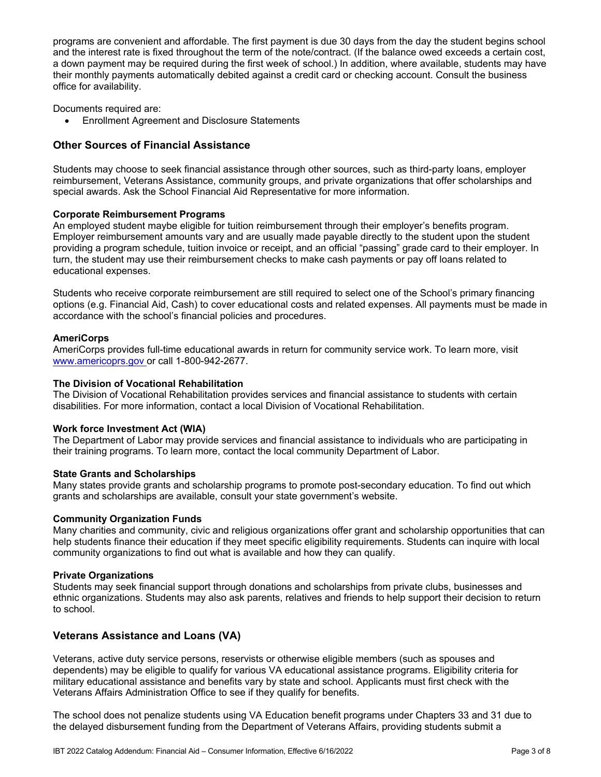programs are convenient and affordable. The first payment is due 30 days from the day the student begins school and the interest rate is fixed throughout the term of the note/contract. (If the balance owed exceeds a certain cost, a down payment may be required during the first week of school.) In addition, where available, students may have their monthly payments automatically debited against a credit card or checking account. Consult the business office for availability.

Documents required are:

Enrollment Agreement and Disclosure Statements

#### **Other Sources of Financial Assistance**

Students may choose to seek financial assistance through other sources, such as third-party loans, employer reimbursement, Veterans Assistance, community groups, and private organizations that offer scholarships and special awards. Ask the School Financial Aid Representative for more information.

#### **Corporate Reimbursement Programs**

An employed student maybe eligible for tuition reimbursement through their employer's benefits program. Employer reimbursement amounts vary and are usually made payable directly to the student upon the student providing a program schedule, tuition invoice or receipt, and an official "passing" grade card to their employer. In turn, the student may use their reimbursement checks to make cash payments or pay off loans related to educational expenses.

Students who receive corporate reimbursement are still required to select one of the School's primary financing options (e.g. Financial Aid, Cash) to cover educational costs and related expenses. All payments must be made in accordance with the school's financial policies and procedures.

#### **AmeriCorps**

AmeriCorps provides full-time educational awards in return for community service work. To learn more, visit www.americoprs.gov or call 1-800-942-2677.

#### **The Division of Vocational Rehabilitation**

The Division of Vocational Rehabilitation provides services and financial assistance to students with certain disabilities. For more information, contact a local Division of Vocational Rehabilitation.

#### **Work force Investment Act (WIA)**

The Department of Labor may provide services and financial assistance to individuals who are participating in their training programs. To learn more, contact the local community Department of Labor.

#### **State Grants and Scholarships**

Many states provide grants and scholarship programs to promote post-secondary education. To find out which grants and scholarships are available, consult your state government's website.

#### **Community Organization Funds**

Many charities and community, civic and religious organizations offer grant and scholarship opportunities that can help students finance their education if they meet specific eligibility requirements. Students can inquire with local community organizations to find out what is available and how they can qualify.

#### **Private Organizations**

Students may seek financial support through donations and scholarships from private clubs, businesses and ethnic organizations. Students may also ask parents, relatives and friends to help support their decision to return to school.

#### **Veterans Assistance and Loans (VA)**

Veterans, active duty service persons, reservists or otherwise eligible members (such as spouses and dependents) may be eligible to qualify for various VA educational assistance programs. Eligibility criteria for military educational assistance and benefits vary by state and school. Applicants must first check with the Veterans Affairs Administration Office to see if they qualify for benefits.

The school does not penalize students using VA Education benefit programs under Chapters 33 and 31 due to the delayed disbursement funding from the Department of Veterans Affairs, providing students submit a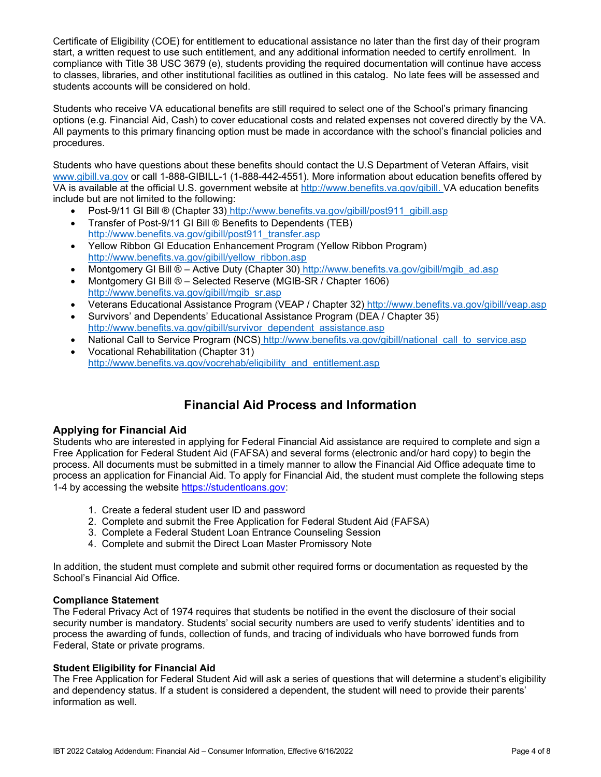Certificate of Eligibility (COE) for entitlement to educational assistance no later than the first day of their program start, a written request to use such entitlement, and any additional information needed to certify enrollment. In compliance with Title 38 USC 3679 (e), students providing the required documentation will continue have access to classes, libraries, and other institutional facilities as outlined in this catalog. No late fees will be assessed and students accounts will be considered on hold.

Students who receive VA educational benefits are still required to select one of the School's primary financing options (e.g. Financial Aid, Cash) to cover educational costs and related expenses not covered directly by the VA. All payments to this primary financing option must be made in accordance with the school's financial policies and procedures.

Students who have questions about these benefits should contact the U.S Department of Veteran Affairs, visit www.gibill.va.gov or call 1-888-GIBILL-1 (1-888-442-4551). More information about education benefits offered by VA is available at the official U.S. government website at http://www.benefits.va.gov/gibill. VA education benefits include but are not limited to the following:

- Post-9/11 GI Bill ® (Chapter 33) http://www.benefits.va.gov/gibill/post911\_gibill.asp
- Transfer of Post-9/11 GI Bill ® Benefits to Dependents (TEB) http://www.benefits.va.gov/gibill/post911\_transfer.asp
- Yellow Ribbon GI Education Enhancement Program (Yellow Ribbon Program) http://www.benefits.va.gov/gibill/yellow\_ribbon.asp
- Montgomery GI Bill  $\otimes$  Active Duty (Chapter 30) http://www.benefits.va.gov/gibill/mgib\_ad.asp
- Montgomery GI Bill ® Selected Reserve (MGIB-SR / Chapter 1606) http://www.benefits.va.gov/gibill/mgib\_sr.asp
- Veterans Educational Assistance Program (VEAP / Chapter 32) http://www.benefits.va.gov/gibill/veap.asp
- Survivors' and Dependents' Educational Assistance Program (DEA / Chapter 35) http://www.benefits.va.gov/gibill/survivor\_dependent\_assistance.asp
- National Call to Service Program (NCS) http://www.benefits.va.gov/gibill/national\_call\_to\_service.asp
- Vocational Rehabilitation (Chapter 31) http://www.benefits.va.gov/vocrehab/eligibility\_and\_entitlement.asp

## **Financial Aid Process and Information**

#### **Applying for Financial Aid**

Students who are interested in applying for Federal Financial Aid assistance are required to complete and sign a Free Application for Federal Student Aid (FAFSA) and several forms (electronic and/or hard copy) to begin the process. All documents must be submitted in a timely manner to allow the Financial Aid Office adequate time to process an application for Financial Aid. To apply for Financial Aid, the student must complete the following steps 1-4 by accessing the website https://studentloans.gov:

- 1. Create a federal student user ID and password
- 2. Complete and submit the Free Application for Federal Student Aid (FAFSA)
- 3. Complete a Federal Student Loan Entrance Counseling Session
- 4. Complete and submit the Direct Loan Master Promissory Note

In addition, the student must complete and submit other required forms or documentation as requested by the School's Financial Aid Office.

#### **Compliance Statement**

The Federal Privacy Act of 1974 requires that students be notified in the event the disclosure of their social security number is mandatory. Students' social security numbers are used to verify students' identities and to process the awarding of funds, collection of funds, and tracing of individuals who have borrowed funds from Federal, State or private programs.

#### **Student Eligibility for Financial Aid**

The Free Application for Federal Student Aid will ask a series of questions that will determine a student's eligibility and dependency status. If a student is considered a dependent, the student will need to provide their parents' information as well.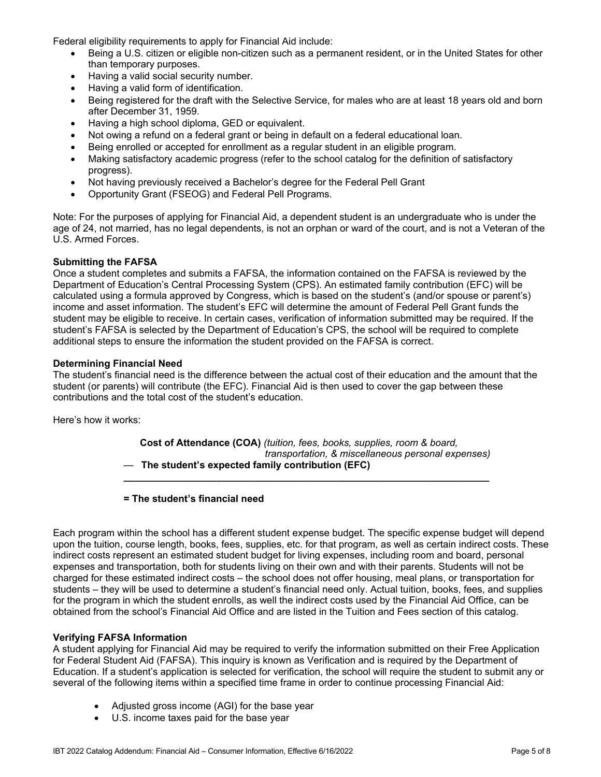Federal eligibility requirements to apply for Financial Aid include:

- Being a U.S. citizen or eligible non-citizen such as a permanent resident, or in the United States for other than temporary purposes.
- Having a valid social security number.
- Having a valid form of identification.
- Being registered for the draft with the Selective Service, for males who are at least 18 years old and born after December 31, 1959.
- Having a high school diploma, GED or equivalent.
- Not owing a refund on a federal grant or being in default on a federal educational loan.
- Being enrolled or accepted for enrollment as a regular student in an eligible program.
- Making satisfactory academic progress (refer to the school catalog for the definition of satisfactory progress).
- Not having previously received a Bachelor's degree for the Federal Pell Grant
- Opportunity Grant (FSEOG) and Federal Pell Programs.

Note: For the purposes of applying for Financial Aid, a dependent student is an undergraduate who is under the age of 24, not married, has no legal dependents, is not an orphan or ward of the court, and is not a Veteran of the U.S. Armed Forces.

#### **Submitting the FAFSA**

Once a student completes and submits a FAFSA, the information contained on the FAFSA is reviewed by the Department of Education's Central Processing System (CPS). An estimated family contribution (EFC) will be calculated using a formula approved by Congress, which is based on the student's (and/or spouse or parent's) income and asset information. The student's EFC will determine the amount of Federal Pell Grant funds the student may be eligible to receive. In certain cases, verification of information submitted may be required. If the student's FAFSA is selected by the Department of Education's CPS, the school will be required to complete additional steps to ensure the information the student provided on the FAFSA is correct.

#### **Determining Financial Need**

The student's financial need is the difference between the actual cost of their education and the amount that the student (or parents) will contribute (the EFC). Financial Aid is then used to cover the gap between these contributions and the total cost of the student's education.

Here's how it works:

 **Cost of Attendance (COA)** *(tuition, fees, books, supplies, room & board,*  *transportation, & miscellaneous personal expenses)* — **The student's expected family contribution (EFC)** 

**\_\_\_\_\_\_\_\_\_\_\_\_\_\_\_\_\_\_\_\_\_\_\_\_\_\_\_\_\_\_\_\_\_\_\_\_\_\_\_\_\_\_\_\_\_\_\_\_\_\_\_\_\_\_\_\_\_\_\_\_\_\_\_\_\_\_\_** 

**= The student's financial need**

Each program within the school has a different student expense budget. The specific expense budget will depend upon the tuition, course length, books, fees, supplies, etc. for that program, as well as certain indirect costs. These indirect costs represent an estimated student budget for living expenses, including room and board, personal expenses and transportation, both for students living on their own and with their parents. Students will not be charged for these estimated indirect costs – the school does not offer housing, meal plans, or transportation for students – they will be used to determine a student's financial need only. Actual tuition, books, fees, and supplies for the program in which the student enrolls, as well the indirect costs used by the Financial Aid Office, can be obtained from the school's Financial Aid Office and are listed in the Tuition and Fees section of this catalog.

#### **Verifying FAFSA Information**

A student applying for Financial Aid may be required to verify the information submitted on their Free Application for Federal Student Aid (FAFSA). This inquiry is known as Verification and is required by the Department of Education. If a student's application is selected for verification, the school will require the student to submit any or several of the following items within a specified time frame in order to continue processing Financial Aid:

- Adjusted gross income (AGI) for the base year
- U.S. income taxes paid for the base year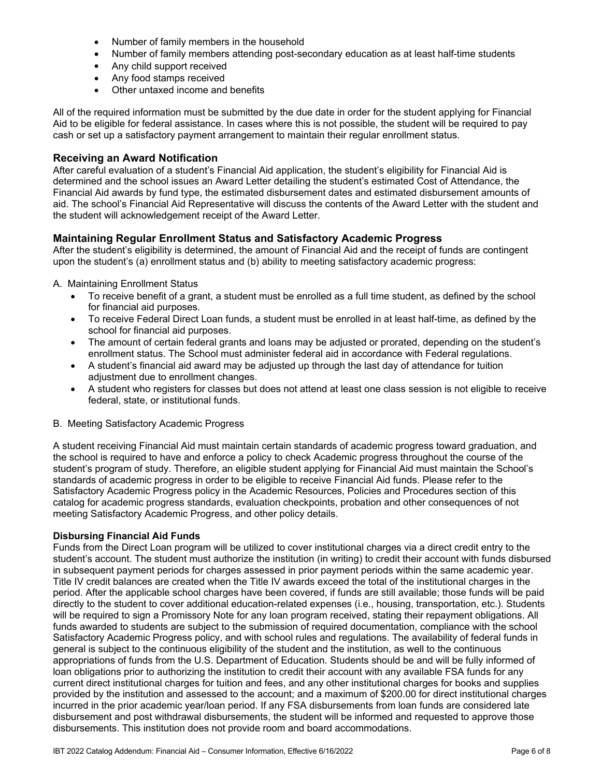- Number of family members in the household
- Number of family members attending post-secondary education as at least half-time students
- Any child support received
- Any food stamps received
- Other untaxed income and benefits

All of the required information must be submitted by the due date in order for the student applying for Financial Aid to be eligible for federal assistance. In cases where this is not possible, the student will be required to pay cash or set up a satisfactory payment arrangement to maintain their regular enrollment status.

#### **Receiving an Award Notification**

After careful evaluation of a student's Financial Aid application, the student's eligibility for Financial Aid is determined and the school issues an Award Letter detailing the student's estimated Cost of Attendance, the Financial Aid awards by fund type, the estimated disbursement dates and estimated disbursement amounts of aid. The school's Financial Aid Representative will discuss the contents of the Award Letter with the student and the student will acknowledgement receipt of the Award Letter.

#### **Maintaining Regular Enrollment Status and Satisfactory Academic Progress**

After the student's eligibility is determined, the amount of Financial Aid and the receipt of funds are contingent upon the student's (a) enrollment status and (b) ability to meeting satisfactory academic progress:

#### A. Maintaining Enrollment Status

- To receive benefit of a grant, a student must be enrolled as a full time student, as defined by the school for financial aid purposes.
- To receive Federal Direct Loan funds, a student must be enrolled in at least half-time, as defined by the school for financial aid purposes.
- The amount of certain federal grants and loans may be adjusted or prorated, depending on the student's enrollment status. The School must administer federal aid in accordance with Federal regulations.
- A student's financial aid award may be adjusted up through the last day of attendance for tuition adjustment due to enrollment changes.
- A student who registers for classes but does not attend at least one class session is not eligible to receive federal, state, or institutional funds.
- B. Meeting Satisfactory Academic Progress

A student receiving Financial Aid must maintain certain standards of academic progress toward graduation, and the school is required to have and enforce a policy to check Academic progress throughout the course of the student's program of study. Therefore, an eligible student applying for Financial Aid must maintain the School's standards of academic progress in order to be eligible to receive Financial Aid funds. Please refer to the Satisfactory Academic Progress policy in the Academic Resources, Policies and Procedures section of this catalog for academic progress standards, evaluation checkpoints, probation and other consequences of not meeting Satisfactory Academic Progress, and other policy details.

#### **Disbursing Financial Aid Funds**

Funds from the Direct Loan program will be utilized to cover institutional charges via a direct credit entry to the student's account. The student must authorize the institution (in writing) to credit their account with funds disbursed in subsequent payment periods for charges assessed in prior payment periods within the same academic year. Title IV credit balances are created when the Title IV awards exceed the total of the institutional charges in the period. After the applicable school charges have been covered, if funds are still available; those funds will be paid directly to the student to cover additional education-related expenses (i.e., housing, transportation, etc.). Students will be required to sign a Promissory Note for any loan program received, stating their repayment obligations. All funds awarded to students are subject to the submission of required documentation, compliance with the school Satisfactory Academic Progress policy, and with school rules and regulations. The availability of federal funds in general is subject to the continuous eligibility of the student and the institution, as well to the continuous appropriations of funds from the U.S. Department of Education. Students should be and will be fully informed of loan obligations prior to authorizing the institution to credit their account with any available FSA funds for any current direct institutional charges for tuition and fees, and any other institutional charges for books and supplies provided by the institution and assessed to the account; and a maximum of \$200.00 for direct institutional charges incurred in the prior academic year/loan period. If any FSA disbursements from loan funds are considered late disbursement and post withdrawal disbursements, the student will be informed and requested to approve those disbursements. This institution does not provide room and board accommodations.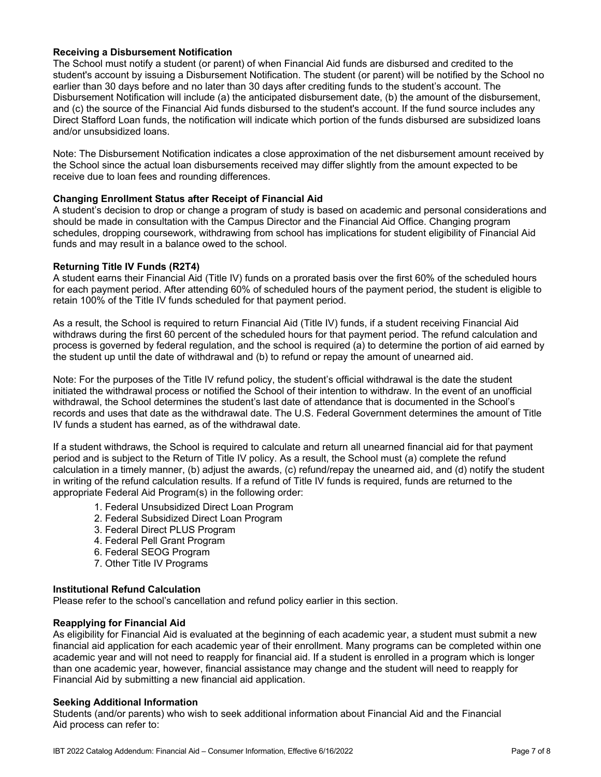#### **Receiving a Disbursement Notification**

The School must notify a student (or parent) of when Financial Aid funds are disbursed and credited to the student's account by issuing a Disbursement Notification. The student (or parent) will be notified by the School no earlier than 30 days before and no later than 30 days after crediting funds to the student's account. The Disbursement Notification will include (a) the anticipated disbursement date, (b) the amount of the disbursement, and (c) the source of the Financial Aid funds disbursed to the student's account. If the fund source includes any Direct Stafford Loan funds, the notification will indicate which portion of the funds disbursed are subsidized loans and/or unsubsidized loans.

Note: The Disbursement Notification indicates a close approximation of the net disbursement amount received by the School since the actual loan disbursements received may differ slightly from the amount expected to be receive due to loan fees and rounding differences.

#### **Changing Enrollment Status after Receipt of Financial Aid**

A student's decision to drop or change a program of study is based on academic and personal considerations and should be made in consultation with the Campus Director and the Financial Aid Office. Changing program schedules, dropping coursework, withdrawing from school has implications for student eligibility of Financial Aid funds and may result in a balance owed to the school.

#### **Returning Title IV Funds (R2T4)**

A student earns their Financial Aid (Title IV) funds on a prorated basis over the first 60% of the scheduled hours for each payment period. After attending 60% of scheduled hours of the payment period, the student is eligible to retain 100% of the Title IV funds scheduled for that payment period.

As a result, the School is required to return Financial Aid (Title IV) funds, if a student receiving Financial Aid withdraws during the first 60 percent of the scheduled hours for that payment period. The refund calculation and process is governed by federal regulation, and the school is required (a) to determine the portion of aid earned by the student up until the date of withdrawal and (b) to refund or repay the amount of unearned aid.

Note: For the purposes of the Title IV refund policy, the student's official withdrawal is the date the student initiated the withdrawal process or notified the School of their intention to withdraw. In the event of an unofficial withdrawal, the School determines the student's last date of attendance that is documented in the School's records and uses that date as the withdrawal date. The U.S. Federal Government determines the amount of Title IV funds a student has earned, as of the withdrawal date.

If a student withdraws, the School is required to calculate and return all unearned financial aid for that payment period and is subject to the Return of Title IV policy. As a result, the School must (a) complete the refund calculation in a timely manner, (b) adjust the awards, (c) refund/repay the unearned aid, and (d) notify the student in writing of the refund calculation results. If a refund of Title IV funds is required, funds are returned to the appropriate Federal Aid Program(s) in the following order:

- 1. Federal Unsubsidized Direct Loan Program
- 2. Federal Subsidized Direct Loan Program
- 3. Federal Direct PLUS Program
- 4. Federal Pell Grant Program
- 6. Federal SEOG Program
- 7. Other Title IV Programs

#### **Institutional Refund Calculation**

Please refer to the school's cancellation and refund policy earlier in this section.

#### **Reapplying for Financial Aid**

As eligibility for Financial Aid is evaluated at the beginning of each academic year, a student must submit a new financial aid application for each academic year of their enrollment. Many programs can be completed within one academic year and will not need to reapply for financial aid. If a student is enrolled in a program which is longer than one academic year, however, financial assistance may change and the student will need to reapply for Financial Aid by submitting a new financial aid application.

#### **Seeking Additional Information**

Students (and/or parents) who wish to seek additional information about Financial Aid and the Financial Aid process can refer to: